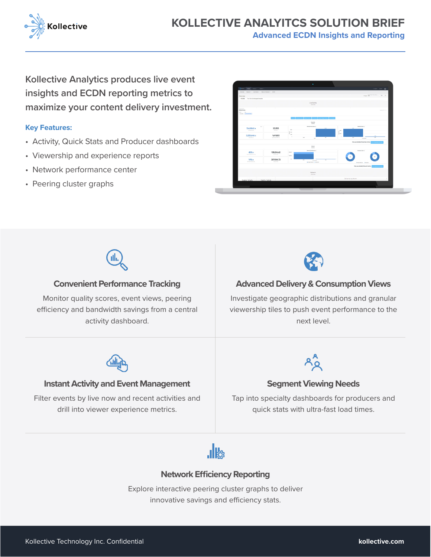

**Advanced ECDN Insights and Reporting**

**Kollective Analytics produces live event insights and ECDN reporting metrics to maximize your content delivery investment.**

# **Key Features:**

- Activity, Quick Stats and Producer dashboards
- Viewership and experience reports
- Network performance center
- Peering cluster graphs



quick stats with ultra-fast load times.



Filter events by live now and recent activities and drill into viewer experience metrics.



# **Network Efficiency Reporting**

Explore interactive peering cluster graphs to deliver innovative savings and efficiency stats.